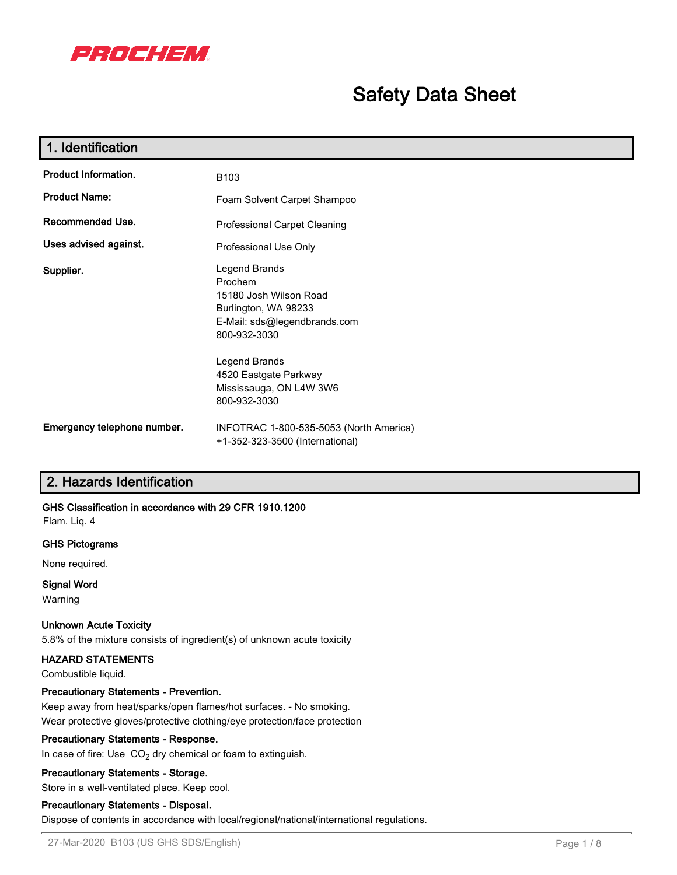

# **Safety Data Sheet**

| 1. Identification           |                                                                                                                            |
|-----------------------------|----------------------------------------------------------------------------------------------------------------------------|
| <b>Product Information.</b> | B <sub>103</sub>                                                                                                           |
| <b>Product Name:</b>        | Foam Solvent Carpet Shampoo                                                                                                |
| Recommended Use.            | <b>Professional Carpet Cleaning</b>                                                                                        |
| Uses advised against.       | Professional Use Only                                                                                                      |
| Supplier.                   | Legend Brands<br>Prochem<br>15180 Josh Wilson Road<br>Burlington, WA 98233<br>E-Mail: sds@legendbrands.com<br>800-932-3030 |
|                             | Legend Brands<br>4520 Eastgate Parkway<br>Mississauga, ON L4W 3W6<br>800-932-3030                                          |
| Emergency telephone number. | INFOTRAC 1-800-535-5053 (North America)<br>+1-352-323-3500 (International)                                                 |

## **2. Hazards Identification**

#### **GHS Classification in accordance with 29 CFR 1910.1200**

Flam. Liq. 4

#### **GHS Pictograms**

None required.

### **Signal Word**

Warning

#### **Unknown Acute Toxicity**

5.8% of the mixture consists of ingredient(s) of unknown acute toxicity

### **HAZARD STATEMENTS**

Combustible liquid.

#### **Precautionary Statements - Prevention.**

Keep away from heat/sparks/open flames/hot surfaces. - No smoking. Wear protective gloves/protective clothing/eye protection/face protection

#### **Precautionary Statements - Response.**

In case of fire: Use  $CO<sub>2</sub>$  dry chemical or foam to extinguish.

#### **Precautionary Statements - Storage.**

Store in a well-ventilated place. Keep cool.

#### **Precautionary Statements - Disposal.**

Dispose of contents in accordance with local/regional/national/international regulations.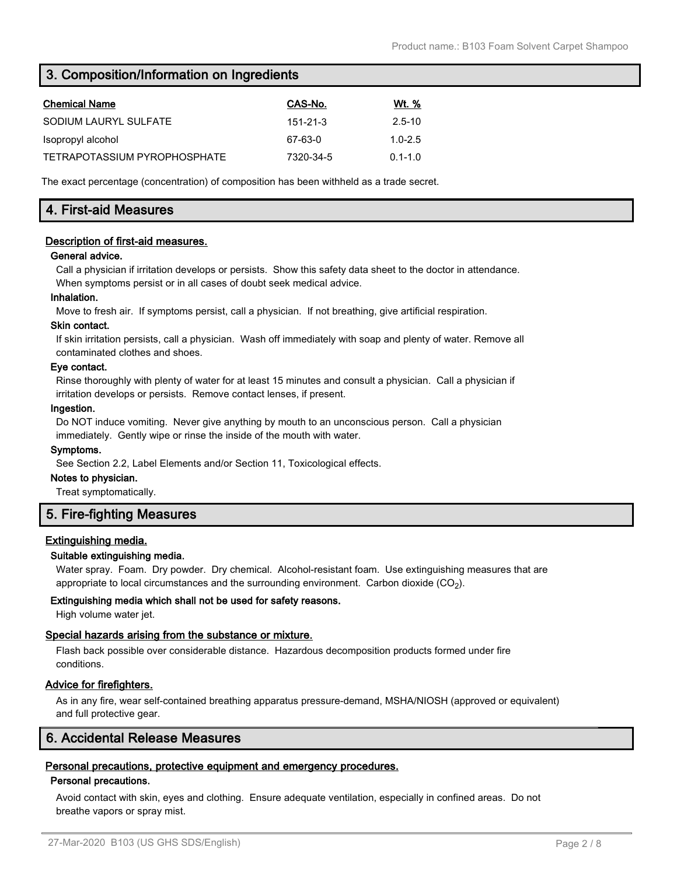## **3. Composition/Information on Ingredients**

| <b>Chemical Name</b>         | CAS-No.   | <b>Wt.</b> % |
|------------------------------|-----------|--------------|
| SODIUM LAURYL SULFATE        | 151-21-3  | $2.5 - 10$   |
| Isopropyl alcohol            | 67-63-0   | $1.0 - 2.5$  |
| TETRAPOTASSIUM PYROPHOSPHATE | 7320-34-5 | $0.1 - 1.0$  |

The exact percentage (concentration) of composition has been withheld as a trade secret.

## **4. First-aid Measures**

#### **Description of first-aid measures.**

#### **General advice.**

Call a physician if irritation develops or persists. Show this safety data sheet to the doctor in attendance. When symptoms persist or in all cases of doubt seek medical advice.

#### **Inhalation.**

Move to fresh air. If symptoms persist, call a physician. If not breathing, give artificial respiration.

#### **Skin contact.**

If skin irritation persists, call a physician. Wash off immediately with soap and plenty of water. Remove all contaminated clothes and shoes.

#### **Eye contact.**

Rinse thoroughly with plenty of water for at least 15 minutes and consult a physician. Call a physician if irritation develops or persists. Remove contact lenses, if present.

#### **Ingestion.**

Do NOT induce vomiting. Never give anything by mouth to an unconscious person. Call a physician immediately. Gently wipe or rinse the inside of the mouth with water.

#### **Symptoms.**

See Section 2.2, Label Elements and/or Section 11, Toxicological effects.

#### **Notes to physician.**

Treat symptomatically.

## **5. Fire-fighting Measures**

#### **Extinguishing media.**

#### **Suitable extinguishing media.**

Water spray. Foam. Dry powder. Dry chemical. Alcohol-resistant foam. Use extinguishing measures that are appropriate to local circumstances and the surrounding environment.  $\rm ~Carbon$  dioxide  $\rm (CO_2).$ 

#### **Extinguishing media which shall not be used for safety reasons.**

High volume water jet.

#### **Special hazards arising from the substance or mixture.**

Flash back possible over considerable distance. Hazardous decomposition products formed under fire conditions.

#### **Advice for firefighters.**

As in any fire, wear self-contained breathing apparatus pressure-demand, MSHA/NIOSH (approved or equivalent) and full protective gear.

### **6. Accidental Release Measures**

## **Personal precautions, protective equipment and emergency procedures.**

### **Personal precautions.**

Avoid contact with skin, eyes and clothing. Ensure adequate ventilation, especially in confined areas. Do not breathe vapors or spray mist.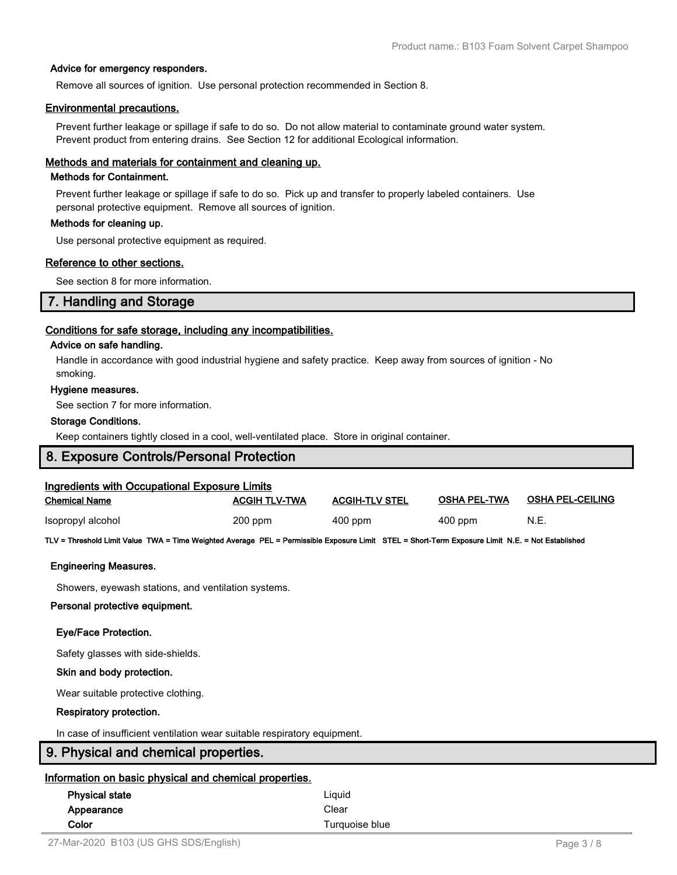#### **Advice for emergency responders.**

Remove all sources of ignition. Use personal protection recommended in Section 8.

#### **Environmental precautions.**

Prevent further leakage or spillage if safe to do so. Do not allow material to contaminate ground water system. Prevent product from entering drains. See Section 12 for additional Ecological information.

#### **Methods and materials for containment and cleaning up.**

#### **Methods for Containment.**

Prevent further leakage or spillage if safe to do so. Pick up and transfer to properly labeled containers. Use personal protective equipment. Remove all sources of ignition.

#### **Methods for cleaning up.**

Use personal protective equipment as required.

#### **Reference to other sections.**

See section 8 for more information.

### **7. Handling and Storage**

#### **Conditions for safe storage, including any incompatibilities.**

#### **Advice on safe handling.**

Handle in accordance with good industrial hygiene and safety practice. Keep away from sources of ignition - No smoking.

#### **Hygiene measures.**

See section 7 for more information.

#### **Storage Conditions.**

Keep containers tightly closed in a cool, well-ventilated place. Store in original container.

| 8. Exposure Controls/Personal Protection                                                                                                         |                      |                       |                     |                         |
|--------------------------------------------------------------------------------------------------------------------------------------------------|----------------------|-----------------------|---------------------|-------------------------|
| <b>Ingredients with Occupational Exposure Limits</b>                                                                                             |                      |                       |                     |                         |
| <b>Chemical Name</b>                                                                                                                             | <b>ACGIH TLV-TWA</b> | <b>ACGIH-TLV STEL</b> | <b>OSHA PEL-TWA</b> | <b>OSHA PEL-CEILING</b> |
| Isopropyl alcohol                                                                                                                                | 200 ppm              | 400 ppm               | 400 ppm             | N.E.                    |
| TLV = Threshold Limit Value TWA = Time Weighted Average PEL = Permissible Exposure Limit STEL = Short-Term Exposure Limit N.E. = Not Established |                      |                       |                     |                         |
| <b>Engineering Measures.</b>                                                                                                                     |                      |                       |                     |                         |
| Showers, eyewash stations, and ventilation systems.                                                                                              |                      |                       |                     |                         |
| Personal protective equipment.                                                                                                                   |                      |                       |                     |                         |
| Eye/Face Protection.                                                                                                                             |                      |                       |                     |                         |
| Safety glasses with side-shields.                                                                                                                |                      |                       |                     |                         |
| Skin and body protection.                                                                                                                        |                      |                       |                     |                         |
| Wear suitable protective clothing.                                                                                                               |                      |                       |                     |                         |
| Respiratory protection.                                                                                                                          |                      |                       |                     |                         |
| In case of insufficient ventilation wear suitable respiratory equipment.                                                                         |                      |                       |                     |                         |
| 9. Physical and chemical properties.                                                                                                             |                      |                       |                     |                         |
| Information on basic physical and chemical properties.                                                                                           |                      |                       |                     |                         |
| <b>Physical state</b>                                                                                                                            |                      | Liquid                |                     |                         |
| Appearance                                                                                                                                       |                      | Clear                 |                     |                         |

**Color** Turquoise blue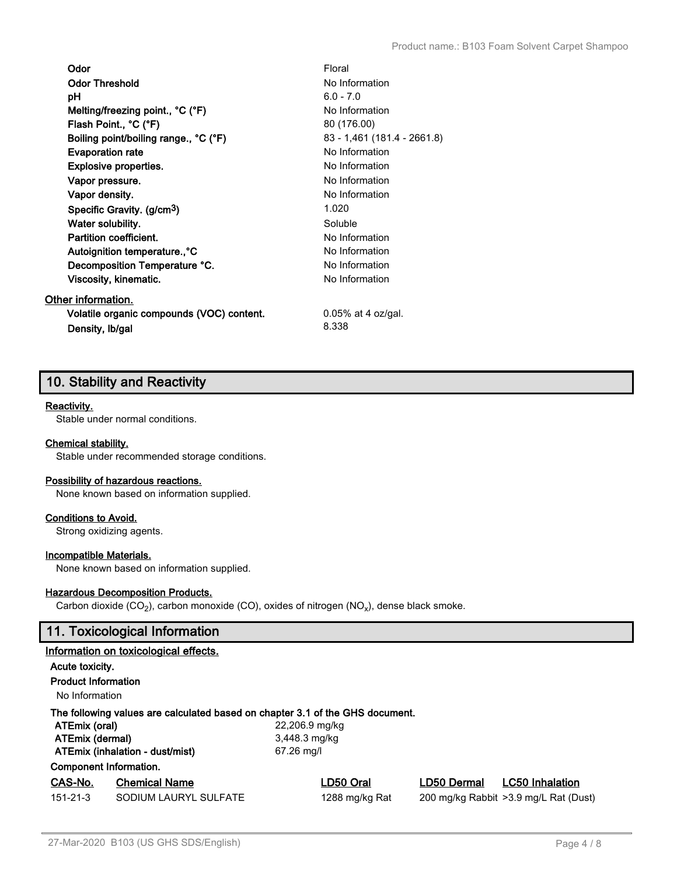| Odor                                      | Floral                      |
|-------------------------------------------|-----------------------------|
| <b>Odor Threshold</b>                     | No Information              |
| рH                                        | $6.0 - 7.0$                 |
| Melting/freezing point., °C (°F)          | No Information              |
| Flash Point., °C (°F)                     | 80 (176.00)                 |
| Boiling point/boiling range., °C (°F)     | 83 - 1,461 (181.4 - 2661.8) |
| <b>Evaporation rate</b>                   | No Information              |
| <b>Explosive properties.</b>              | No Information              |
| Vapor pressure.                           | No Information              |
| Vapor density.                            | No Information              |
| Specific Gravity. (g/cm <sup>3</sup> )    | 1.020                       |
| Water solubility.                         | Soluble                     |
| Partition coefficient.                    | No Information              |
| Autoignition temperature., °C             | No Information              |
| Decomposition Temperature °C.             | No Information              |
| Viscosity, kinematic.                     | No Information              |
| Other information.                        |                             |
| Volatile organic compounds (VOC) content. | $0.05\%$ at 4 oz/gal.       |
| Density, Ib/gal                           | 8.338                       |

## **10. Stability and Reactivity**

#### **Reactivity.**

Stable under normal conditions.

#### **Chemical stability.**

Stable under recommended storage conditions.

### **Possibility of hazardous reactions.**

None known based on information supplied.

### **Conditions to Avoid.**

Strong oxidizing agents.

## **Incompatible Materials.**

None known based on information supplied.

#### **Hazardous Decomposition Products.**

Carbon dioxide (CO<sub>2</sub>), carbon monoxide (CO), oxides of nitrogen (NO<sub>x</sub>), dense black smoke.

## **11. Toxicological Information**

|                            | Information on toxicological effects.                                         |                 |                |             |                                        |
|----------------------------|-------------------------------------------------------------------------------|-----------------|----------------|-------------|----------------------------------------|
| Acute toxicity.            |                                                                               |                 |                |             |                                        |
| <b>Product Information</b> |                                                                               |                 |                |             |                                        |
| No Information             |                                                                               |                 |                |             |                                        |
|                            | The following values are calculated based on chapter 3.1 of the GHS document. |                 |                |             |                                        |
| ATEmix (oral)              |                                                                               | 22,206.9 mg/kg  |                |             |                                        |
| ATEmix (dermal)            |                                                                               | $3,448.3$ mg/kg |                |             |                                        |
|                            | ATEmix (inhalation - dust/mist)<br>67.26 mg/l                                 |                 |                |             |                                        |
| Component Information.     |                                                                               |                 |                |             |                                        |
| CAS-No.                    | <b>Chemical Name</b>                                                          |                 | ∟D50 Oral      | LD50 Dermal | <b>LC50 Inhalation</b>                 |
| $151 - 21 - 3$             | SODIUM LAURYL SULFATE                                                         |                 | 1288 mg/kg Rat |             | 200 mg/kg Rabbit > 3.9 mg/L Rat (Dust) |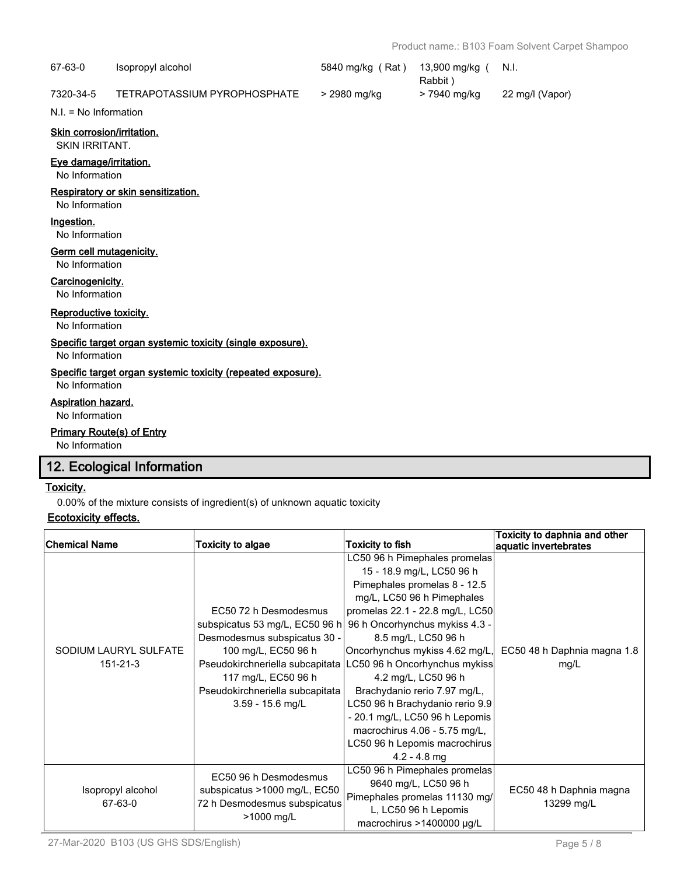| 67-63-0                                                    | Isopropyl alcohol            | 5840 mg/kg (Rat) | 13,900 mg/kg (<br>Rabbit) | N.I.            |
|------------------------------------------------------------|------------------------------|------------------|---------------------------|-----------------|
| 7320-34-5                                                  | TETRAPOTASSIUM PYROPHOSPHATE | > 2980 mg/kg     | > 7940 mg/kg              | 22 mg/l (Vapor) |
| $N.I. = No Information$                                    |                              |                  |                           |                 |
| <b>Skin corrosion/irritation.</b><br><b>SKIN IRRITANT.</b> |                              |                  |                           |                 |
| Eye damage/irritation.<br>No Information                   |                              |                  |                           |                 |
| Respiratory or skin sensitization.<br>No Information       |                              |                  |                           |                 |
| Ingestion.<br>No Information                               |                              |                  |                           |                 |
| Germ cell mutagenicity.<br>No Information                  |                              |                  |                           |                 |
| Carcinogenicity.<br>No Information                         |                              |                  |                           |                 |
| Reproductive toxicity.<br>No Information                   |                              |                  |                           |                 |
|                                                            |                              |                  |                           |                 |

**Specific target organ systemic toxicity (single exposure).**

No Information

## **Specific target organ systemic toxicity (repeated exposure).**

No Information

## **Aspiration hazard.**

No Information

## **Primary Route(s) of Entry**

No Information

## **12. Ecological Information**

#### **Toxicity.**

0.00% of the mixture consists of ingredient(s) of unknown aquatic toxicity

### **Ecotoxicity effects.**

| <b>Chemical Name</b>                    | <b>Toxicity to algae</b>                                                                                                                                                                                                          | <b>Toxicity to fish</b>                                                                                                                                                                                                                                                                                                                                                                                                                                                                                 | Toxicity to daphnia and other<br>aquatic invertebrates |
|-----------------------------------------|-----------------------------------------------------------------------------------------------------------------------------------------------------------------------------------------------------------------------------------|---------------------------------------------------------------------------------------------------------------------------------------------------------------------------------------------------------------------------------------------------------------------------------------------------------------------------------------------------------------------------------------------------------------------------------------------------------------------------------------------------------|--------------------------------------------------------|
| SODIUM LAURYL SULFATE<br>$151 - 21 - 3$ | EC50 72 h Desmodesmus<br>subspicatus 53 mg/L, EC50 96 h<br>Desmodesmus subspicatus 30 -<br>100 mg/L, EC50 96 h<br>Pseudokirchneriella subcapitata<br>117 mg/L, EC50 96 h<br>Pseudokirchneriella subcapitata<br>$3.59 - 15.6$ mg/L | LC50 96 h Pimephales promelas<br>15 - 18.9 mg/L, LC50 96 h<br>Pimephales promelas 8 - 12.5<br>mg/L, LC50 96 h Pimephales<br>promelas 22.1 - 22.8 mg/L, LC50<br>96 h Oncorhynchus mykiss 4.3 -<br>8.5 mg/L, LC50 96 h<br>Oncorhynchus mykiss 4.62 mg/L,<br>LC50 96 h Oncorhynchus mykiss<br>4.2 mg/L, LC50 96 h<br>Brachydanio rerio 7.97 mg/L,<br>LC50 96 h Brachydanio rerio 9.9<br>- 20.1 mg/L, LC50 96 h Lepomis<br>macrochirus 4.06 - 5.75 mg/L,<br>LC50 96 h Lepomis macrochirus<br>$4.2 - 4.8$ mg | EC50 48 h Daphnia magna 1.8<br>mg/L                    |
| Isopropyl alcohol<br>67-63-0            | EC50 96 h Desmodesmus<br>subspicatus >1000 mg/L, EC50<br>72 h Desmodesmus subspicatus<br>>1000 mg/L                                                                                                                               | LC50 96 h Pimephales promelas<br>9640 mg/L, LC50 96 h<br>Pimephales promelas 11130 mg/<br>L, LC50 96 h Lepomis<br>macrochirus >1400000 µg/L                                                                                                                                                                                                                                                                                                                                                             | EC50 48 h Daphnia magna<br>13299 mg/L                  |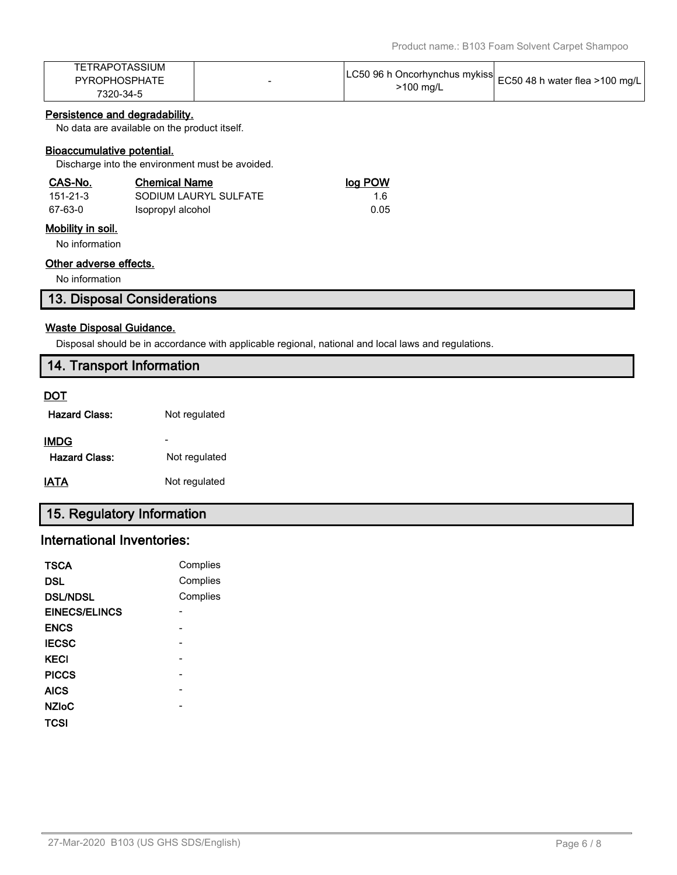| TETRAPOTASSIUM       |                                                                            |  |
|----------------------|----------------------------------------------------------------------------|--|
| <b>PYROPHOSPHATE</b> | LC50 96 h Oncorhynchus mykiss $ ECS0 48$ h water flea >100 mo <sup>n</sup> |  |
| 7320-34-5            | $>100$ mg/L                                                                |  |

### **Persistence and degradability.**

No data are available on the product itself.

#### **Bioaccumulative potential.**

Discharge into the environment must be avoided.

| CAS-No.  | <b>Chemical Name</b>  | log POW |
|----------|-----------------------|---------|
| 151-21-3 | SODIUM LAURYL SULFATE | 16      |
| 67-63-0  | Isopropyl alcohol     | 0.05    |

#### **Mobility in soil.**

No information

#### **Other adverse effects.**

No information

## **13. Disposal Considerations**

### **Waste Disposal Guidance.**

Disposal should be in accordance with applicable regional, national and local laws and regulations.

| 14. Transport Information |                          |
|---------------------------|--------------------------|
| <b>DOT</b>                |                          |
| <b>Hazard Class:</b>      | Not regulated            |
| <b>IMDG</b>               | $\overline{\phantom{0}}$ |
| <b>Hazard Class:</b>      | Not regulated            |
| <b>IATA</b>               | Not regulated            |
|                           |                          |

# **15. Regulatory Information**

## **International Inventories:**

| <b>TSCA</b>          |          |
|----------------------|----------|
|                      | Complies |
| DSL                  | Complies |
| <b>DSL/NDSL</b>      | Complies |
| <b>EINECS/ELINCS</b> |          |
| <b>ENCS</b>          |          |
| <b>IECSC</b>         |          |
| <b>KECI</b>          |          |
| <b>PICCS</b>         |          |
| <b>AICS</b>          |          |
| <b>NZIoC</b>         |          |
| <b>TCSI</b>          |          |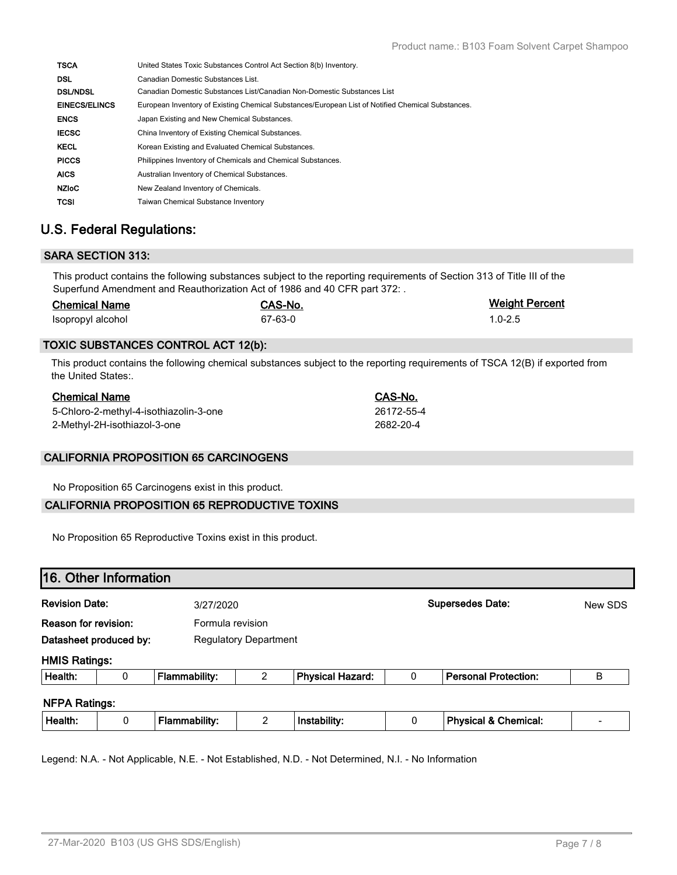| <b>TSCA</b>          | United States Toxic Substances Control Act Section 8(b) Inventory.                                |
|----------------------|---------------------------------------------------------------------------------------------------|
| <b>DSL</b>           | Canadian Domestic Substances List.                                                                |
| <b>DSL/NDSL</b>      | Canadian Domestic Substances List/Canadian Non-Domestic Substances List                           |
| <b>EINECS/ELINCS</b> | European Inventory of Existing Chemical Substances/European List of Notified Chemical Substances. |
| <b>ENCS</b>          | Japan Existing and New Chemical Substances.                                                       |
| <b>IECSC</b>         | China Inventory of Existing Chemical Substances.                                                  |
| <b>KECL</b>          | Korean Existing and Evaluated Chemical Substances.                                                |
| <b>PICCS</b>         | Philippines Inventory of Chemicals and Chemical Substances.                                       |
| <b>AICS</b>          | Australian Inventory of Chemical Substances.                                                      |
| <b>NZIoC</b>         | New Zealand Inventory of Chemicals.                                                               |
| <b>TCSI</b>          | Taiwan Chemical Substance Inventory                                                               |

## **U.S. Federal Regulations:**

### **SARA SECTION 313:**

This product contains the following substances subject to the reporting requirements of Section 313 of Title III of the Superfund Amendment and Reauthorization Act of 1986 and 40 CFR part 372: .

| <b>Chemical Name</b> | CAS-No. | <b>Weight Percent</b> |
|----------------------|---------|-----------------------|
| Isopropyl alcohol    | 67-63-0 | $1.0 - 2.5$           |

### **TOXIC SUBSTANCES CONTROL ACT 12(b):**

This product contains the following chemical substances subject to the reporting requirements of TSCA 12(B) if exported from the United States:.

| <b>Chemical Name</b>                   | CAS-No.    |
|----------------------------------------|------------|
| 5-Chloro-2-methyl-4-isothiazolin-3-one | 26172-55-4 |
| 2-Methyl-2H-isothiazol-3-one           | 2682-20-4  |

#### **CALIFORNIA PROPOSITION 65 CARCINOGENS**

No Proposition 65 Carcinogens exist in this product.

#### **CALIFORNIA PROPOSITION 65 REPRODUCTIVE TOXINS**

No Proposition 65 Reproductive Toxins exist in this product.

# **16. Other Information Revision Date:** 3/27/2020 **Supersedes Date:** New SDS **Reason for revision:** Formula revision **Datasheet produced by:** Regulatory Department **HMIS Ratings: Health:** 0 **Flammability:** 2 **Physical Hazard:** 0 **Personal Protection:** B **NFPA Ratings: Health:** 0 **Flammability:** 2 **Instability:** 0 **Physical & Chemical:** -

Legend: N.A. - Not Applicable, N.E. - Not Established, N.D. - Not Determined, N.I. - No Information